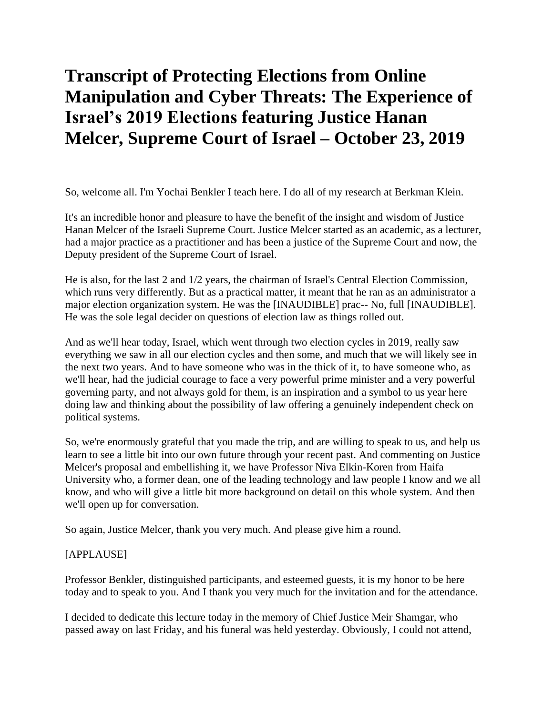# **Transcript of Protecting Elections from Online Manipulation and Cyber Threats: The Experience of Israel's 2019 Elections featuring Justice Hanan Melcer, Supreme Court of Israel – October 23, 2019**

So, welcome all. I'm Yochai Benkler I teach here. I do all of my research at Berkman Klein.

It's an incredible honor and pleasure to have the benefit of the insight and wisdom of Justice Hanan Melcer of the Israeli Supreme Court. Justice Melcer started as an academic, as a lecturer, had a major practice as a practitioner and has been a justice of the Supreme Court and now, the Deputy president of the Supreme Court of Israel.

He is also, for the last 2 and 1/2 years, the chairman of Israel's Central Election Commission, which runs very differently. But as a practical matter, it meant that he ran as an administrator a major election organization system. He was the [INAUDIBLE] prac-- No, full [INAUDIBLE]. He was the sole legal decider on questions of election law as things rolled out.

And as we'll hear today, Israel, which went through two election cycles in 2019, really saw everything we saw in all our election cycles and then some, and much that we will likely see in the next two years. And to have someone who was in the thick of it, to have someone who, as we'll hear, had the judicial courage to face a very powerful prime minister and a very powerful governing party, and not always gold for them, is an inspiration and a symbol to us year here doing law and thinking about the possibility of law offering a genuinely independent check on political systems.

So, we're enormously grateful that you made the trip, and are willing to speak to us, and help us learn to see a little bit into our own future through your recent past. And commenting on Justice Melcer's proposal and embellishing it, we have Professor Niva Elkin-Koren from Haifa University who, a former dean, one of the leading technology and law people I know and we all know, and who will give a little bit more background on detail on this whole system. And then we'll open up for conversation.

So again, Justice Melcer, thank you very much. And please give him a round.

#### [APPLAUSE]

Professor Benkler, distinguished participants, and esteemed guests, it is my honor to be here today and to speak to you. And I thank you very much for the invitation and for the attendance.

I decided to dedicate this lecture today in the memory of Chief Justice Meir Shamgar, who passed away on last Friday, and his funeral was held yesterday. Obviously, I could not attend,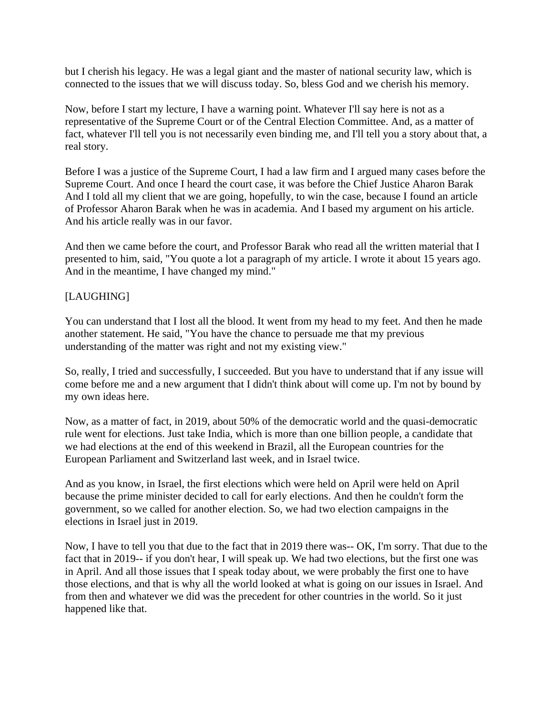but I cherish his legacy. He was a legal giant and the master of national security law, which is connected to the issues that we will discuss today. So, bless God and we cherish his memory.

Now, before I start my lecture, I have a warning point. Whatever I'll say here is not as a representative of the Supreme Court or of the Central Election Committee. And, as a matter of fact, whatever I'll tell you is not necessarily even binding me, and I'll tell you a story about that, a real story.

Before I was a justice of the Supreme Court, I had a law firm and I argued many cases before the Supreme Court. And once I heard the court case, it was before the Chief Justice Aharon Barak And I told all my client that we are going, hopefully, to win the case, because I found an article of Professor Aharon Barak when he was in academia. And I based my argument on his article. And his article really was in our favor.

And then we came before the court, and Professor Barak who read all the written material that I presented to him, said, "You quote a lot a paragraph of my article. I wrote it about 15 years ago. And in the meantime, I have changed my mind."

### [LAUGHING]

You can understand that I lost all the blood. It went from my head to my feet. And then he made another statement. He said, "You have the chance to persuade me that my previous understanding of the matter was right and not my existing view."

So, really, I tried and successfully, I succeeded. But you have to understand that if any issue will come before me and a new argument that I didn't think about will come up. I'm not by bound by my own ideas here.

Now, as a matter of fact, in 2019, about 50% of the democratic world and the quasi-democratic rule went for elections. Just take India, which is more than one billion people, a candidate that we had elections at the end of this weekend in Brazil, all the European countries for the European Parliament and Switzerland last week, and in Israel twice.

And as you know, in Israel, the first elections which were held on April were held on April because the prime minister decided to call for early elections. And then he couldn't form the government, so we called for another election. So, we had two election campaigns in the elections in Israel just in 2019.

Now, I have to tell you that due to the fact that in 2019 there was-- OK, I'm sorry. That due to the fact that in 2019-- if you don't hear, I will speak up. We had two elections, but the first one was in April. And all those issues that I speak today about, we were probably the first one to have those elections, and that is why all the world looked at what is going on our issues in Israel. And from then and whatever we did was the precedent for other countries in the world. So it just happened like that.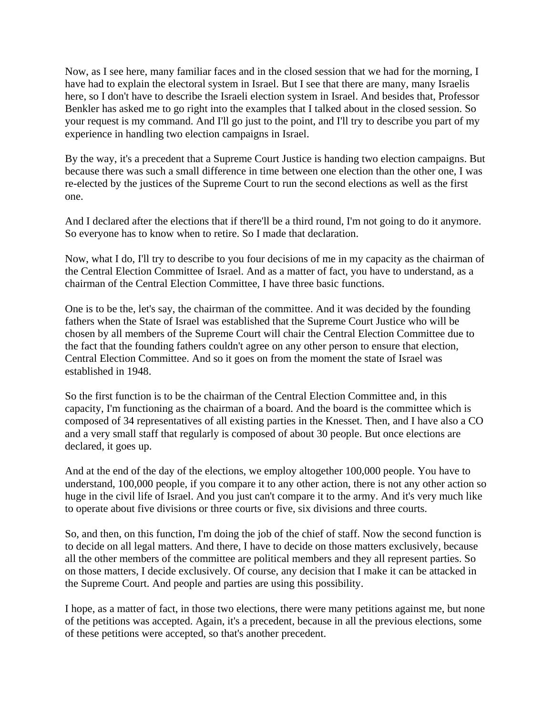Now, as I see here, many familiar faces and in the closed session that we had for the morning, I have had to explain the electoral system in Israel. But I see that there are many, many Israelis here, so I don't have to describe the Israeli election system in Israel. And besides that, Professor Benkler has asked me to go right into the examples that I talked about in the closed session. So your request is my command. And I'll go just to the point, and I'll try to describe you part of my experience in handling two election campaigns in Israel.

By the way, it's a precedent that a Supreme Court Justice is handing two election campaigns. But because there was such a small difference in time between one election than the other one, I was re-elected by the justices of the Supreme Court to run the second elections as well as the first one.

And I declared after the elections that if there'll be a third round, I'm not going to do it anymore. So everyone has to know when to retire. So I made that declaration.

Now, what I do, I'll try to describe to you four decisions of me in my capacity as the chairman of the Central Election Committee of Israel. And as a matter of fact, you have to understand, as a chairman of the Central Election Committee, I have three basic functions.

One is to be the, let's say, the chairman of the committee. And it was decided by the founding fathers when the State of Israel was established that the Supreme Court Justice who will be chosen by all members of the Supreme Court will chair the Central Election Committee due to the fact that the founding fathers couldn't agree on any other person to ensure that election, Central Election Committee. And so it goes on from the moment the state of Israel was established in 1948.

So the first function is to be the chairman of the Central Election Committee and, in this capacity, I'm functioning as the chairman of a board. And the board is the committee which is composed of 34 representatives of all existing parties in the Knesset. Then, and I have also a CO and a very small staff that regularly is composed of about 30 people. But once elections are declared, it goes up.

And at the end of the day of the elections, we employ altogether 100,000 people. You have to understand, 100,000 people, if you compare it to any other action, there is not any other action so huge in the civil life of Israel. And you just can't compare it to the army. And it's very much like to operate about five divisions or three courts or five, six divisions and three courts.

So, and then, on this function, I'm doing the job of the chief of staff. Now the second function is to decide on all legal matters. And there, I have to decide on those matters exclusively, because all the other members of the committee are political members and they all represent parties. So on those matters, I decide exclusively. Of course, any decision that I make it can be attacked in the Supreme Court. And people and parties are using this possibility.

I hope, as a matter of fact, in those two elections, there were many petitions against me, but none of the petitions was accepted. Again, it's a precedent, because in all the previous elections, some of these petitions were accepted, so that's another precedent.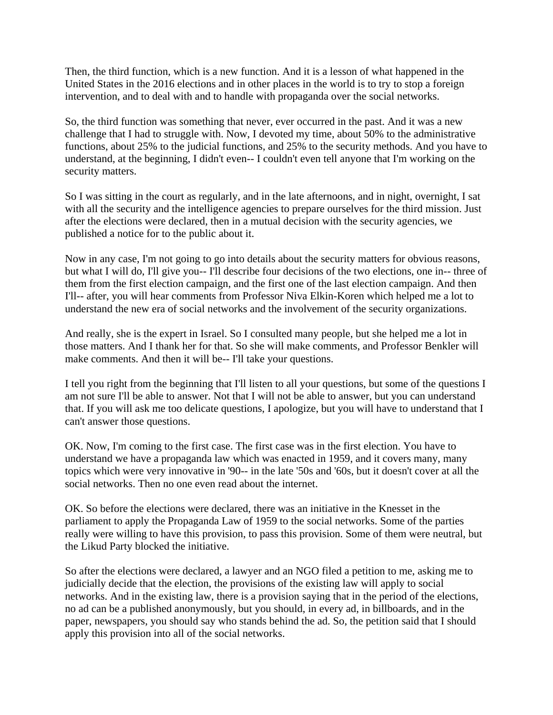Then, the third function, which is a new function. And it is a lesson of what happened in the United States in the 2016 elections and in other places in the world is to try to stop a foreign intervention, and to deal with and to handle with propaganda over the social networks.

So, the third function was something that never, ever occurred in the past. And it was a new challenge that I had to struggle with. Now, I devoted my time, about 50% to the administrative functions, about 25% to the judicial functions, and 25% to the security methods. And you have to understand, at the beginning, I didn't even-- I couldn't even tell anyone that I'm working on the security matters.

So I was sitting in the court as regularly, and in the late afternoons, and in night, overnight, I sat with all the security and the intelligence agencies to prepare ourselves for the third mission. Just after the elections were declared, then in a mutual decision with the security agencies, we published a notice for to the public about it.

Now in any case, I'm not going to go into details about the security matters for obvious reasons, but what I will do, I'll give you-- I'll describe four decisions of the two elections, one in-- three of them from the first election campaign, and the first one of the last election campaign. And then I'll-- after, you will hear comments from Professor Niva Elkin-Koren which helped me a lot to understand the new era of social networks and the involvement of the security organizations.

And really, she is the expert in Israel. So I consulted many people, but she helped me a lot in those matters. And I thank her for that. So she will make comments, and Professor Benkler will make comments. And then it will be-- I'll take your questions.

I tell you right from the beginning that I'll listen to all your questions, but some of the questions I am not sure I'll be able to answer. Not that I will not be able to answer, but you can understand that. If you will ask me too delicate questions, I apologize, but you will have to understand that I can't answer those questions.

OK. Now, I'm coming to the first case. The first case was in the first election. You have to understand we have a propaganda law which was enacted in 1959, and it covers many, many topics which were very innovative in '90-- in the late '50s and '60s, but it doesn't cover at all the social networks. Then no one even read about the internet.

OK. So before the elections were declared, there was an initiative in the Knesset in the parliament to apply the Propaganda Law of 1959 to the social networks. Some of the parties really were willing to have this provision, to pass this provision. Some of them were neutral, but the Likud Party blocked the initiative.

So after the elections were declared, a lawyer and an NGO filed a petition to me, asking me to judicially decide that the election, the provisions of the existing law will apply to social networks. And in the existing law, there is a provision saying that in the period of the elections, no ad can be a published anonymously, but you should, in every ad, in billboards, and in the paper, newspapers, you should say who stands behind the ad. So, the petition said that I should apply this provision into all of the social networks.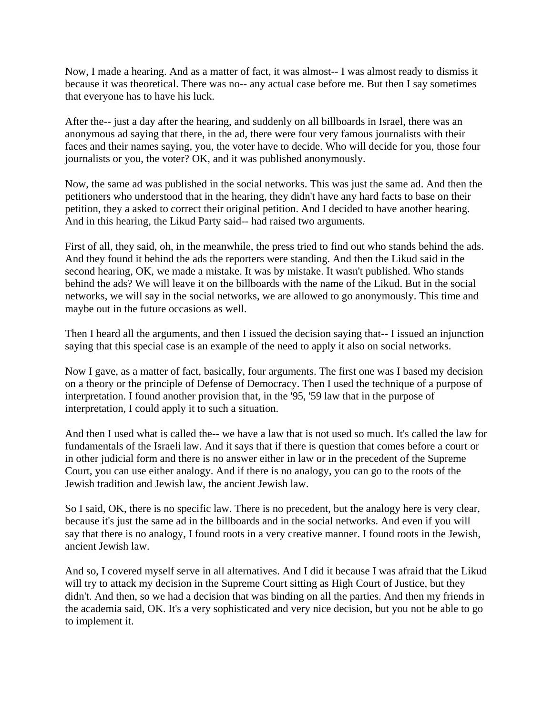Now, I made a hearing. And as a matter of fact, it was almost-- I was almost ready to dismiss it because it was theoretical. There was no-- any actual case before me. But then I say sometimes that everyone has to have his luck.

After the-- just a day after the hearing, and suddenly on all billboards in Israel, there was an anonymous ad saying that there, in the ad, there were four very famous journalists with their faces and their names saying, you, the voter have to decide. Who will decide for you, those four journalists or you, the voter? OK, and it was published anonymously.

Now, the same ad was published in the social networks. This was just the same ad. And then the petitioners who understood that in the hearing, they didn't have any hard facts to base on their petition, they a asked to correct their original petition. And I decided to have another hearing. And in this hearing, the Likud Party said-- had raised two arguments.

First of all, they said, oh, in the meanwhile, the press tried to find out who stands behind the ads. And they found it behind the ads the reporters were standing. And then the Likud said in the second hearing, OK, we made a mistake. It was by mistake. It wasn't published. Who stands behind the ads? We will leave it on the billboards with the name of the Likud. But in the social networks, we will say in the social networks, we are allowed to go anonymously. This time and maybe out in the future occasions as well.

Then I heard all the arguments, and then I issued the decision saying that-- I issued an injunction saying that this special case is an example of the need to apply it also on social networks.

Now I gave, as a matter of fact, basically, four arguments. The first one was I based my decision on a theory or the principle of Defense of Democracy. Then I used the technique of a purpose of interpretation. I found another provision that, in the '95, '59 law that in the purpose of interpretation, I could apply it to such a situation.

And then I used what is called the-- we have a law that is not used so much. It's called the law for fundamentals of the Israeli law. And it says that if there is question that comes before a court or in other judicial form and there is no answer either in law or in the precedent of the Supreme Court, you can use either analogy. And if there is no analogy, you can go to the roots of the Jewish tradition and Jewish law, the ancient Jewish law.

So I said, OK, there is no specific law. There is no precedent, but the analogy here is very clear, because it's just the same ad in the billboards and in the social networks. And even if you will say that there is no analogy, I found roots in a very creative manner. I found roots in the Jewish, ancient Jewish law.

And so, I covered myself serve in all alternatives. And I did it because I was afraid that the Likud will try to attack my decision in the Supreme Court sitting as High Court of Justice, but they didn't. And then, so we had a decision that was binding on all the parties. And then my friends in the academia said, OK. It's a very sophisticated and very nice decision, but you not be able to go to implement it.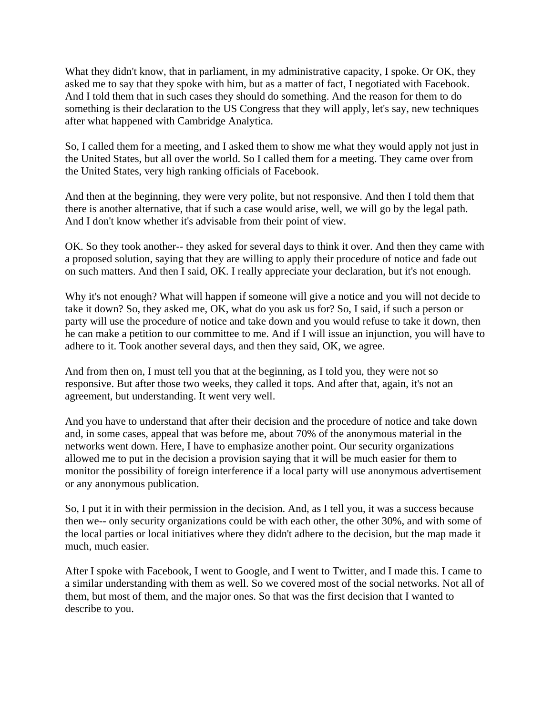What they didn't know, that in parliament, in my administrative capacity, I spoke. Or OK, they asked me to say that they spoke with him, but as a matter of fact, I negotiated with Facebook. And I told them that in such cases they should do something. And the reason for them to do something is their declaration to the US Congress that they will apply, let's say, new techniques after what happened with Cambridge Analytica.

So, I called them for a meeting, and I asked them to show me what they would apply not just in the United States, but all over the world. So I called them for a meeting. They came over from the United States, very high ranking officials of Facebook.

And then at the beginning, they were very polite, but not responsive. And then I told them that there is another alternative, that if such a case would arise, well, we will go by the legal path. And I don't know whether it's advisable from their point of view.

OK. So they took another-- they asked for several days to think it over. And then they came with a proposed solution, saying that they are willing to apply their procedure of notice and fade out on such matters. And then I said, OK. I really appreciate your declaration, but it's not enough.

Why it's not enough? What will happen if someone will give a notice and you will not decide to take it down? So, they asked me, OK, what do you ask us for? So, I said, if such a person or party will use the procedure of notice and take down and you would refuse to take it down, then he can make a petition to our committee to me. And if I will issue an injunction, you will have to adhere to it. Took another several days, and then they said, OK, we agree.

And from then on, I must tell you that at the beginning, as I told you, they were not so responsive. But after those two weeks, they called it tops. And after that, again, it's not an agreement, but understanding. It went very well.

And you have to understand that after their decision and the procedure of notice and take down and, in some cases, appeal that was before me, about 70% of the anonymous material in the networks went down. Here, I have to emphasize another point. Our security organizations allowed me to put in the decision a provision saying that it will be much easier for them to monitor the possibility of foreign interference if a local party will use anonymous advertisement or any anonymous publication.

So, I put it in with their permission in the decision. And, as I tell you, it was a success because then we-- only security organizations could be with each other, the other 30%, and with some of the local parties or local initiatives where they didn't adhere to the decision, but the map made it much, much easier.

After I spoke with Facebook, I went to Google, and I went to Twitter, and I made this. I came to a similar understanding with them as well. So we covered most of the social networks. Not all of them, but most of them, and the major ones. So that was the first decision that I wanted to describe to you.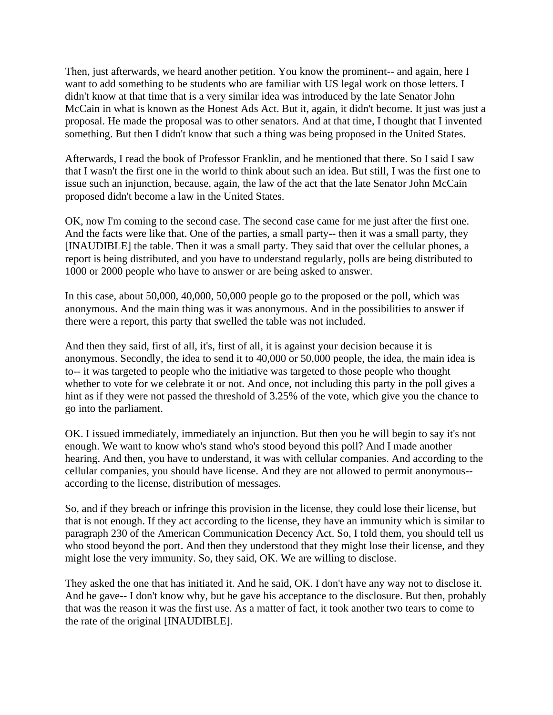Then, just afterwards, we heard another petition. You know the prominent-- and again, here I want to add something to be students who are familiar with US legal work on those letters. I didn't know at that time that is a very similar idea was introduced by the late Senator John McCain in what is known as the Honest Ads Act. But it, again, it didn't become. It just was just a proposal. He made the proposal was to other senators. And at that time, I thought that I invented something. But then I didn't know that such a thing was being proposed in the United States.

Afterwards, I read the book of Professor Franklin, and he mentioned that there. So I said I saw that I wasn't the first one in the world to think about such an idea. But still, I was the first one to issue such an injunction, because, again, the law of the act that the late Senator John McCain proposed didn't become a law in the United States.

OK, now I'm coming to the second case. The second case came for me just after the first one. And the facts were like that. One of the parties, a small party-- then it was a small party, they [INAUDIBLE] the table. Then it was a small party. They said that over the cellular phones, a report is being distributed, and you have to understand regularly, polls are being distributed to 1000 or 2000 people who have to answer or are being asked to answer.

In this case, about 50,000, 40,000, 50,000 people go to the proposed or the poll, which was anonymous. And the main thing was it was anonymous. And in the possibilities to answer if there were a report, this party that swelled the table was not included.

And then they said, first of all, it's, first of all, it is against your decision because it is anonymous. Secondly, the idea to send it to 40,000 or 50,000 people, the idea, the main idea is to-- it was targeted to people who the initiative was targeted to those people who thought whether to vote for we celebrate it or not. And once, not including this party in the poll gives a hint as if they were not passed the threshold of 3.25% of the vote, which give you the chance to go into the parliament.

OK. I issued immediately, immediately an injunction. But then you he will begin to say it's not enough. We want to know who's stand who's stood beyond this poll? And I made another hearing. And then, you have to understand, it was with cellular companies. And according to the cellular companies, you should have license. And they are not allowed to permit anonymous- according to the license, distribution of messages.

So, and if they breach or infringe this provision in the license, they could lose their license, but that is not enough. If they act according to the license, they have an immunity which is similar to paragraph 230 of the American Communication Decency Act. So, I told them, you should tell us who stood beyond the port. And then they understood that they might lose their license, and they might lose the very immunity. So, they said, OK. We are willing to disclose.

They asked the one that has initiated it. And he said, OK. I don't have any way not to disclose it. And he gave-- I don't know why, but he gave his acceptance to the disclosure. But then, probably that was the reason it was the first use. As a matter of fact, it took another two tears to come to the rate of the original [INAUDIBLE].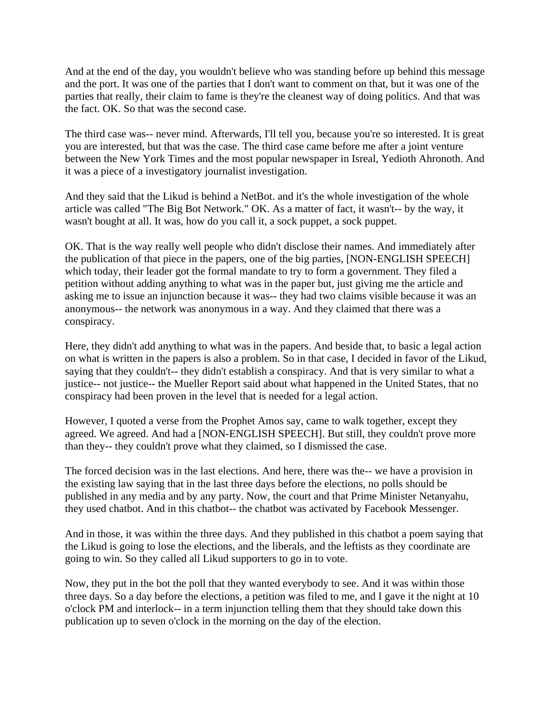And at the end of the day, you wouldn't believe who was standing before up behind this message and the port. It was one of the parties that I don't want to comment on that, but it was one of the parties that really, their claim to fame is they're the cleanest way of doing politics. And that was the fact. OK. So that was the second case.

The third case was-- never mind. Afterwards, I'll tell you, because you're so interested. It is great you are interested, but that was the case. The third case came before me after a joint venture between the New York Times and the most popular newspaper in Isreal, Yedioth Ahronoth. And it was a piece of a investigatory journalist investigation.

And they said that the Likud is behind a NetBot. and it's the whole investigation of the whole article was called "The Big Bot Network." OK. As a matter of fact, it wasn't-- by the way, it wasn't bought at all. It was, how do you call it, a sock puppet, a sock puppet.

OK. That is the way really well people who didn't disclose their names. And immediately after the publication of that piece in the papers, one of the big parties, [NON-ENGLISH SPEECH] which today, their leader got the formal mandate to try to form a government. They filed a petition without adding anything to what was in the paper but, just giving me the article and asking me to issue an injunction because it was-- they had two claims visible because it was an anonymous-- the network was anonymous in a way. And they claimed that there was a conspiracy.

Here, they didn't add anything to what was in the papers. And beside that, to basic a legal action on what is written in the papers is also a problem. So in that case, I decided in favor of the Likud, saying that they couldn't-- they didn't establish a conspiracy. And that is very similar to what a justice-- not justice-- the Mueller Report said about what happened in the United States, that no conspiracy had been proven in the level that is needed for a legal action.

However, I quoted a verse from the Prophet Amos say, came to walk together, except they agreed. We agreed. And had a [NON-ENGLISH SPEECH]. But still, they couldn't prove more than they-- they couldn't prove what they claimed, so I dismissed the case.

The forced decision was in the last elections. And here, there was the-- we have a provision in the existing law saying that in the last three days before the elections, no polls should be published in any media and by any party. Now, the court and that Prime Minister Netanyahu, they used chatbot. And in this chatbot-- the chatbot was activated by Facebook Messenger.

And in those, it was within the three days. And they published in this chatbot a poem saying that the Likud is going to lose the elections, and the liberals, and the leftists as they coordinate are going to win. So they called all Likud supporters to go in to vote.

Now, they put in the bot the poll that they wanted everybody to see. And it was within those three days. So a day before the elections, a petition was filed to me, and I gave it the night at 10 o'clock PM and interlock-- in a term injunction telling them that they should take down this publication up to seven o'clock in the morning on the day of the election.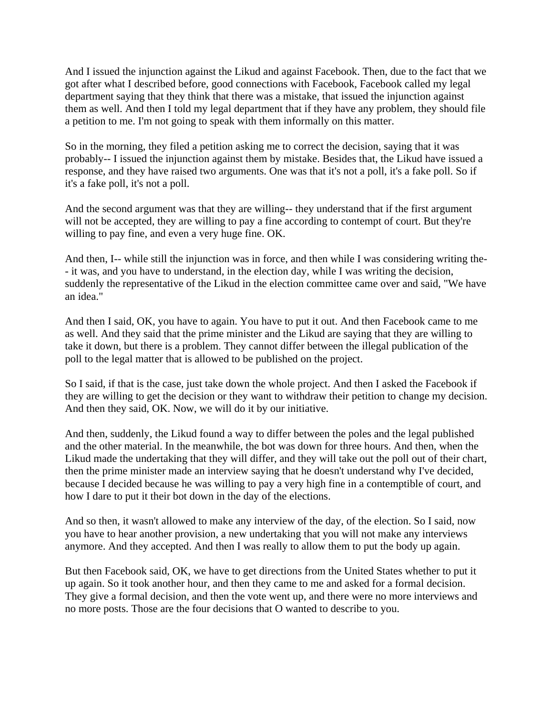And I issued the injunction against the Likud and against Facebook. Then, due to the fact that we got after what I described before, good connections with Facebook, Facebook called my legal department saying that they think that there was a mistake, that issued the injunction against them as well. And then I told my legal department that if they have any problem, they should file a petition to me. I'm not going to speak with them informally on this matter.

So in the morning, they filed a petition asking me to correct the decision, saying that it was probably-- I issued the injunction against them by mistake. Besides that, the Likud have issued a response, and they have raised two arguments. One was that it's not a poll, it's a fake poll. So if it's a fake poll, it's not a poll.

And the second argument was that they are willing-- they understand that if the first argument will not be accepted, they are willing to pay a fine according to contempt of court. But they're willing to pay fine, and even a very huge fine. OK.

And then, I-- while still the injunction was in force, and then while I was considering writing the- - it was, and you have to understand, in the election day, while I was writing the decision, suddenly the representative of the Likud in the election committee came over and said, "We have an idea."

And then I said, OK, you have to again. You have to put it out. And then Facebook came to me as well. And they said that the prime minister and the Likud are saying that they are willing to take it down, but there is a problem. They cannot differ between the illegal publication of the poll to the legal matter that is allowed to be published on the project.

So I said, if that is the case, just take down the whole project. And then I asked the Facebook if they are willing to get the decision or they want to withdraw their petition to change my decision. And then they said, OK. Now, we will do it by our initiative.

And then, suddenly, the Likud found a way to differ between the poles and the legal published and the other material. In the meanwhile, the bot was down for three hours. And then, when the Likud made the undertaking that they will differ, and they will take out the poll out of their chart, then the prime minister made an interview saying that he doesn't understand why I've decided, because I decided because he was willing to pay a very high fine in a contemptible of court, and how I dare to put it their bot down in the day of the elections.

And so then, it wasn't allowed to make any interview of the day, of the election. So I said, now you have to hear another provision, a new undertaking that you will not make any interviews anymore. And they accepted. And then I was really to allow them to put the body up again.

But then Facebook said, OK, we have to get directions from the United States whether to put it up again. So it took another hour, and then they came to me and asked for a formal decision. They give a formal decision, and then the vote went up, and there were no more interviews and no more posts. Those are the four decisions that O wanted to describe to you.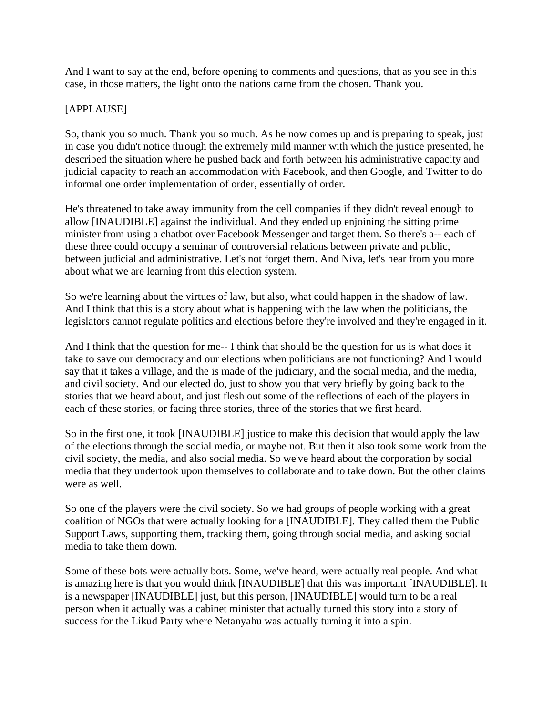And I want to say at the end, before opening to comments and questions, that as you see in this case, in those matters, the light onto the nations came from the chosen. Thank you.

## [APPLAUSE]

So, thank you so much. Thank you so much. As he now comes up and is preparing to speak, just in case you didn't notice through the extremely mild manner with which the justice presented, he described the situation where he pushed back and forth between his administrative capacity and judicial capacity to reach an accommodation with Facebook, and then Google, and Twitter to do informal one order implementation of order, essentially of order.

He's threatened to take away immunity from the cell companies if they didn't reveal enough to allow [INAUDIBLE] against the individual. And they ended up enjoining the sitting prime minister from using a chatbot over Facebook Messenger and target them. So there's a-- each of these three could occupy a seminar of controversial relations between private and public, between judicial and administrative. Let's not forget them. And Niva, let's hear from you more about what we are learning from this election system.

So we're learning about the virtues of law, but also, what could happen in the shadow of law. And I think that this is a story about what is happening with the law when the politicians, the legislators cannot regulate politics and elections before they're involved and they're engaged in it.

And I think that the question for me-- I think that should be the question for us is what does it take to save our democracy and our elections when politicians are not functioning? And I would say that it takes a village, and the is made of the judiciary, and the social media, and the media, and civil society. And our elected do, just to show you that very briefly by going back to the stories that we heard about, and just flesh out some of the reflections of each of the players in each of these stories, or facing three stories, three of the stories that we first heard.

So in the first one, it took [INAUDIBLE] justice to make this decision that would apply the law of the elections through the social media, or maybe not. But then it also took some work from the civil society, the media, and also social media. So we've heard about the corporation by social media that they undertook upon themselves to collaborate and to take down. But the other claims were as well.

So one of the players were the civil society. So we had groups of people working with a great coalition of NGOs that were actually looking for a [INAUDIBLE]. They called them the Public Support Laws, supporting them, tracking them, going through social media, and asking social media to take them down.

Some of these bots were actually bots. Some, we've heard, were actually real people. And what is amazing here is that you would think [INAUDIBLE] that this was important [INAUDIBLE]. It is a newspaper [INAUDIBLE] just, but this person, [INAUDIBLE] would turn to be a real person when it actually was a cabinet minister that actually turned this story into a story of success for the Likud Party where Netanyahu was actually turning it into a spin.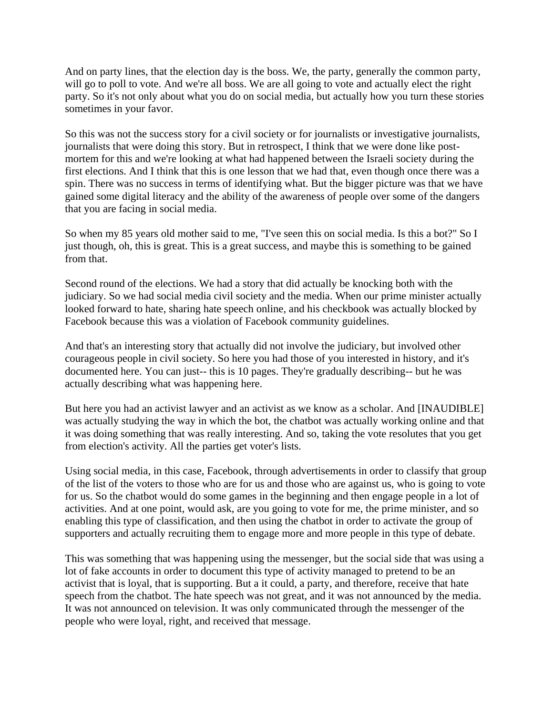And on party lines, that the election day is the boss. We, the party, generally the common party, will go to poll to vote. And we're all boss. We are all going to vote and actually elect the right party. So it's not only about what you do on social media, but actually how you turn these stories sometimes in your favor.

So this was not the success story for a civil society or for journalists or investigative journalists, journalists that were doing this story. But in retrospect, I think that we were done like postmortem for this and we're looking at what had happened between the Israeli society during the first elections. And I think that this is one lesson that we had that, even though once there was a spin. There was no success in terms of identifying what. But the bigger picture was that we have gained some digital literacy and the ability of the awareness of people over some of the dangers that you are facing in social media.

So when my 85 years old mother said to me, "I've seen this on social media. Is this a bot?" So I just though, oh, this is great. This is a great success, and maybe this is something to be gained from that.

Second round of the elections. We had a story that did actually be knocking both with the judiciary. So we had social media civil society and the media. When our prime minister actually looked forward to hate, sharing hate speech online, and his checkbook was actually blocked by Facebook because this was a violation of Facebook community guidelines.

And that's an interesting story that actually did not involve the judiciary, but involved other courageous people in civil society. So here you had those of you interested in history, and it's documented here. You can just-- this is 10 pages. They're gradually describing-- but he was actually describing what was happening here.

But here you had an activist lawyer and an activist as we know as a scholar. And [INAUDIBLE] was actually studying the way in which the bot, the chatbot was actually working online and that it was doing something that was really interesting. And so, taking the vote resolutes that you get from election's activity. All the parties get voter's lists.

Using social media, in this case, Facebook, through advertisements in order to classify that group of the list of the voters to those who are for us and those who are against us, who is going to vote for us. So the chatbot would do some games in the beginning and then engage people in a lot of activities. And at one point, would ask, are you going to vote for me, the prime minister, and so enabling this type of classification, and then using the chatbot in order to activate the group of supporters and actually recruiting them to engage more and more people in this type of debate.

This was something that was happening using the messenger, but the social side that was using a lot of fake accounts in order to document this type of activity managed to pretend to be an activist that is loyal, that is supporting. But a it could, a party, and therefore, receive that hate speech from the chatbot. The hate speech was not great, and it was not announced by the media. It was not announced on television. It was only communicated through the messenger of the people who were loyal, right, and received that message.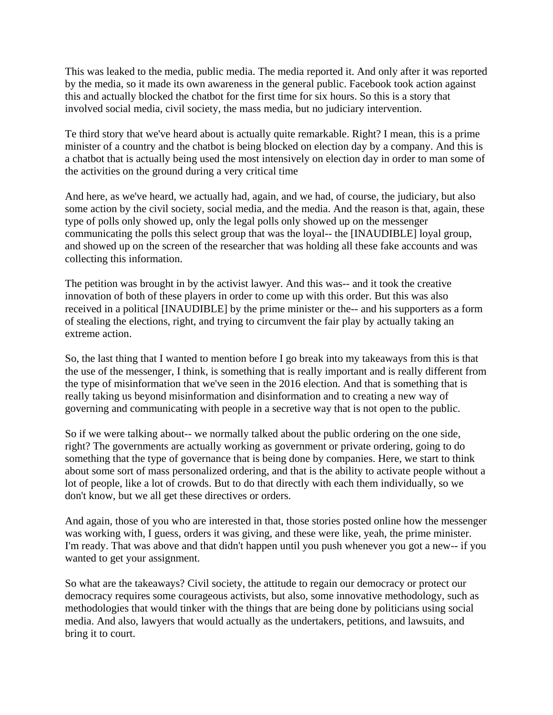This was leaked to the media, public media. The media reported it. And only after it was reported by the media, so it made its own awareness in the general public. Facebook took action against this and actually blocked the chatbot for the first time for six hours. So this is a story that involved social media, civil society, the mass media, but no judiciary intervention.

Te third story that we've heard about is actually quite remarkable. Right? I mean, this is a prime minister of a country and the chatbot is being blocked on election day by a company. And this is a chatbot that is actually being used the most intensively on election day in order to man some of the activities on the ground during a very critical time

And here, as we've heard, we actually had, again, and we had, of course, the judiciary, but also some action by the civil society, social media, and the media. And the reason is that, again, these type of polls only showed up, only the legal polls only showed up on the messenger communicating the polls this select group that was the loyal-- the [INAUDIBLE] loyal group, and showed up on the screen of the researcher that was holding all these fake accounts and was collecting this information.

The petition was brought in by the activist lawyer. And this was-- and it took the creative innovation of both of these players in order to come up with this order. But this was also received in a political [INAUDIBLE] by the prime minister or the-- and his supporters as a form of stealing the elections, right, and trying to circumvent the fair play by actually taking an extreme action.

So, the last thing that I wanted to mention before I go break into my takeaways from this is that the use of the messenger, I think, is something that is really important and is really different from the type of misinformation that we've seen in the 2016 election. And that is something that is really taking us beyond misinformation and disinformation and to creating a new way of governing and communicating with people in a secretive way that is not open to the public.

So if we were talking about-- we normally talked about the public ordering on the one side, right? The governments are actually working as government or private ordering, going to do something that the type of governance that is being done by companies. Here, we start to think about some sort of mass personalized ordering, and that is the ability to activate people without a lot of people, like a lot of crowds. But to do that directly with each them individually, so we don't know, but we all get these directives or orders.

And again, those of you who are interested in that, those stories posted online how the messenger was working with, I guess, orders it was giving, and these were like, yeah, the prime minister. I'm ready. That was above and that didn't happen until you push whenever you got a new-- if you wanted to get your assignment.

So what are the takeaways? Civil society, the attitude to regain our democracy or protect our democracy requires some courageous activists, but also, some innovative methodology, such as methodologies that would tinker with the things that are being done by politicians using social media. And also, lawyers that would actually as the undertakers, petitions, and lawsuits, and bring it to court.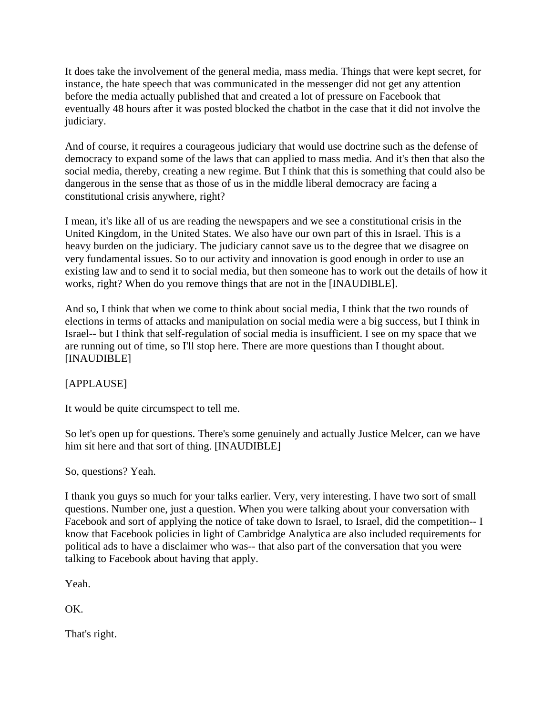It does take the involvement of the general media, mass media. Things that were kept secret, for instance, the hate speech that was communicated in the messenger did not get any attention before the media actually published that and created a lot of pressure on Facebook that eventually 48 hours after it was posted blocked the chatbot in the case that it did not involve the judiciary.

And of course, it requires a courageous judiciary that would use doctrine such as the defense of democracy to expand some of the laws that can applied to mass media. And it's then that also the social media, thereby, creating a new regime. But I think that this is something that could also be dangerous in the sense that as those of us in the middle liberal democracy are facing a constitutional crisis anywhere, right?

I mean, it's like all of us are reading the newspapers and we see a constitutional crisis in the United Kingdom, in the United States. We also have our own part of this in Israel. This is a heavy burden on the judiciary. The judiciary cannot save us to the degree that we disagree on very fundamental issues. So to our activity and innovation is good enough in order to use an existing law and to send it to social media, but then someone has to work out the details of how it works, right? When do you remove things that are not in the [INAUDIBLE].

And so, I think that when we come to think about social media, I think that the two rounds of elections in terms of attacks and manipulation on social media were a big success, but I think in Israel-- but I think that self-regulation of social media is insufficient. I see on my space that we are running out of time, so I'll stop here. There are more questions than I thought about. [INAUDIBLE]

[APPLAUSE]

It would be quite circumspect to tell me.

So let's open up for questions. There's some genuinely and actually Justice Melcer, can we have him sit here and that sort of thing. [INAUDIBLE]

So, questions? Yeah.

I thank you guys so much for your talks earlier. Very, very interesting. I have two sort of small questions. Number one, just a question. When you were talking about your conversation with Facebook and sort of applying the notice of take down to Israel, to Israel, did the competition-- I know that Facebook policies in light of Cambridge Analytica are also included requirements for political ads to have a disclaimer who was-- that also part of the conversation that you were talking to Facebook about having that apply.

Yeah.

OK.

That's right.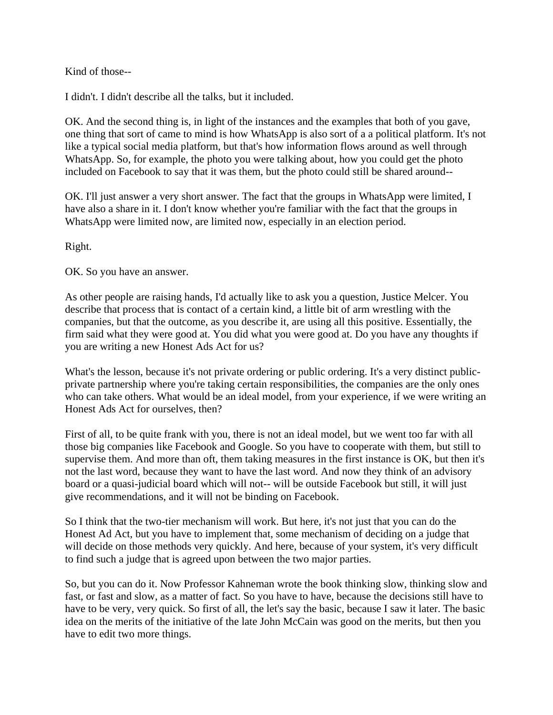Kind of those--

I didn't. I didn't describe all the talks, but it included.

OK. And the second thing is, in light of the instances and the examples that both of you gave, one thing that sort of came to mind is how WhatsApp is also sort of a a political platform. It's not like a typical social media platform, but that's how information flows around as well through WhatsApp. So, for example, the photo you were talking about, how you could get the photo included on Facebook to say that it was them, but the photo could still be shared around--

OK. I'll just answer a very short answer. The fact that the groups in WhatsApp were limited, I have also a share in it. I don't know whether you're familiar with the fact that the groups in WhatsApp were limited now, are limited now, especially in an election period.

Right.

OK. So you have an answer.

As other people are raising hands, I'd actually like to ask you a question, Justice Melcer. You describe that process that is contact of a certain kind, a little bit of arm wrestling with the companies, but that the outcome, as you describe it, are using all this positive. Essentially, the firm said what they were good at. You did what you were good at. Do you have any thoughts if you are writing a new Honest Ads Act for us?

What's the lesson, because it's not private ordering or public ordering. It's a very distinct publicprivate partnership where you're taking certain responsibilities, the companies are the only ones who can take others. What would be an ideal model, from your experience, if we were writing an Honest Ads Act for ourselves, then?

First of all, to be quite frank with you, there is not an ideal model, but we went too far with all those big companies like Facebook and Google. So you have to cooperate with them, but still to supervise them. And more than oft, them taking measures in the first instance is OK, but then it's not the last word, because they want to have the last word. And now they think of an advisory board or a quasi-judicial board which will not-- will be outside Facebook but still, it will just give recommendations, and it will not be binding on Facebook.

So I think that the two-tier mechanism will work. But here, it's not just that you can do the Honest Ad Act, but you have to implement that, some mechanism of deciding on a judge that will decide on those methods very quickly. And here, because of your system, it's very difficult to find such a judge that is agreed upon between the two major parties.

So, but you can do it. Now Professor Kahneman wrote the book thinking slow, thinking slow and fast, or fast and slow, as a matter of fact. So you have to have, because the decisions still have to have to be very, very quick. So first of all, the let's say the basic, because I saw it later. The basic idea on the merits of the initiative of the late John McCain was good on the merits, but then you have to edit two more things.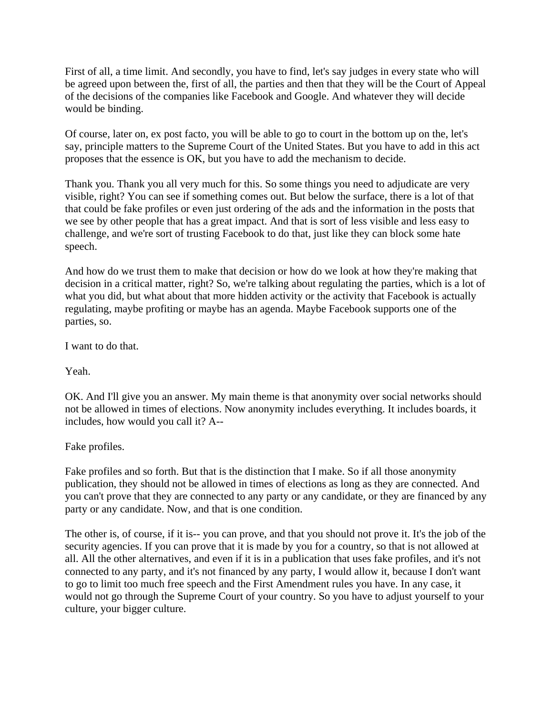First of all, a time limit. And secondly, you have to find, let's say judges in every state who will be agreed upon between the, first of all, the parties and then that they will be the Court of Appeal of the decisions of the companies like Facebook and Google. And whatever they will decide would be binding.

Of course, later on, ex post facto, you will be able to go to court in the bottom up on the, let's say, principle matters to the Supreme Court of the United States. But you have to add in this act proposes that the essence is OK, but you have to add the mechanism to decide.

Thank you. Thank you all very much for this. So some things you need to adjudicate are very visible, right? You can see if something comes out. But below the surface, there is a lot of that that could be fake profiles or even just ordering of the ads and the information in the posts that we see by other people that has a great impact. And that is sort of less visible and less easy to challenge, and we're sort of trusting Facebook to do that, just like they can block some hate speech.

And how do we trust them to make that decision or how do we look at how they're making that decision in a critical matter, right? So, we're talking about regulating the parties, which is a lot of what you did, but what about that more hidden activity or the activity that Facebook is actually regulating, maybe profiting or maybe has an agenda. Maybe Facebook supports one of the parties, so.

I want to do that.

Yeah.

OK. And I'll give you an answer. My main theme is that anonymity over social networks should not be allowed in times of elections. Now anonymity includes everything. It includes boards, it includes, how would you call it? A--

Fake profiles.

Fake profiles and so forth. But that is the distinction that I make. So if all those anonymity publication, they should not be allowed in times of elections as long as they are connected. And you can't prove that they are connected to any party or any candidate, or they are financed by any party or any candidate. Now, and that is one condition.

The other is, of course, if it is-- you can prove, and that you should not prove it. It's the job of the security agencies. If you can prove that it is made by you for a country, so that is not allowed at all. All the other alternatives, and even if it is in a publication that uses fake profiles, and it's not connected to any party, and it's not financed by any party, I would allow it, because I don't want to go to limit too much free speech and the First Amendment rules you have. In any case, it would not go through the Supreme Court of your country. So you have to adjust yourself to your culture, your bigger culture.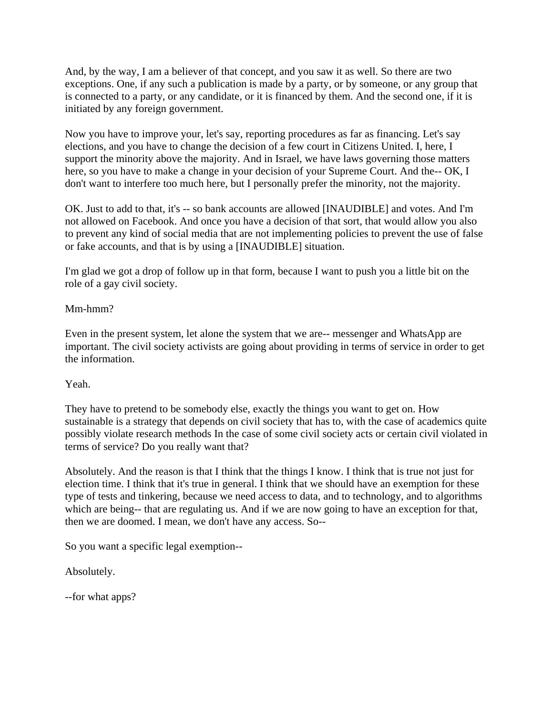And, by the way, I am a believer of that concept, and you saw it as well. So there are two exceptions. One, if any such a publication is made by a party, or by someone, or any group that is connected to a party, or any candidate, or it is financed by them. And the second one, if it is initiated by any foreign government.

Now you have to improve your, let's say, reporting procedures as far as financing. Let's say elections, and you have to change the decision of a few court in Citizens United. I, here, I support the minority above the majority. And in Israel, we have laws governing those matters here, so you have to make a change in your decision of your Supreme Court. And the-- OK, I don't want to interfere too much here, but I personally prefer the minority, not the majority.

OK. Just to add to that, it's -- so bank accounts are allowed [INAUDIBLE] and votes. And I'm not allowed on Facebook. And once you have a decision of that sort, that would allow you also to prevent any kind of social media that are not implementing policies to prevent the use of false or fake accounts, and that is by using a [INAUDIBLE] situation.

I'm glad we got a drop of follow up in that form, because I want to push you a little bit on the role of a gay civil society.

Mm-hmm?

Even in the present system, let alone the system that we are-- messenger and WhatsApp are important. The civil society activists are going about providing in terms of service in order to get the information.

# Yeah.

They have to pretend to be somebody else, exactly the things you want to get on. How sustainable is a strategy that depends on civil society that has to, with the case of academics quite possibly violate research methods In the case of some civil society acts or certain civil violated in terms of service? Do you really want that?

Absolutely. And the reason is that I think that the things I know. I think that is true not just for election time. I think that it's true in general. I think that we should have an exemption for these type of tests and tinkering, because we need access to data, and to technology, and to algorithms which are being-- that are regulating us. And if we are now going to have an exception for that, then we are doomed. I mean, we don't have any access. So--

So you want a specific legal exemption--

Absolutely.

--for what apps?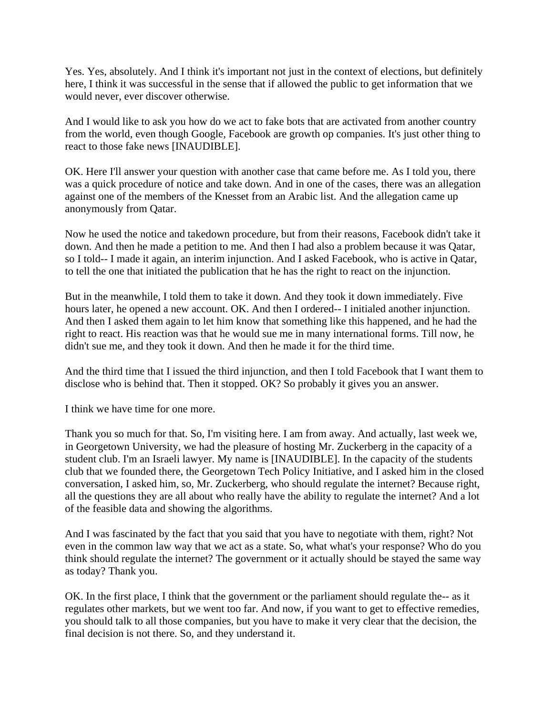Yes. Yes, absolutely. And I think it's important not just in the context of elections, but definitely here, I think it was successful in the sense that if allowed the public to get information that we would never, ever discover otherwise.

And I would like to ask you how do we act to fake bots that are activated from another country from the world, even though Google, Facebook are growth op companies. It's just other thing to react to those fake news [INAUDIBLE].

OK. Here I'll answer your question with another case that came before me. As I told you, there was a quick procedure of notice and take down. And in one of the cases, there was an allegation against one of the members of the Knesset from an Arabic list. And the allegation came up anonymously from Qatar.

Now he used the notice and takedown procedure, but from their reasons, Facebook didn't take it down. And then he made a petition to me. And then I had also a problem because it was Qatar, so I told-- I made it again, an interim injunction. And I asked Facebook, who is active in Qatar, to tell the one that initiated the publication that he has the right to react on the injunction.

But in the meanwhile, I told them to take it down. And they took it down immediately. Five hours later, he opened a new account. OK. And then I ordered-- I initialed another injunction. And then I asked them again to let him know that something like this happened, and he had the right to react. His reaction was that he would sue me in many international forms. Till now, he didn't sue me, and they took it down. And then he made it for the third time.

And the third time that I issued the third injunction, and then I told Facebook that I want them to disclose who is behind that. Then it stopped. OK? So probably it gives you an answer.

I think we have time for one more.

Thank you so much for that. So, I'm visiting here. I am from away. And actually, last week we, in Georgetown University, we had the pleasure of hosting Mr. Zuckerberg in the capacity of a student club. I'm an Israeli lawyer. My name is [INAUDIBLE]. In the capacity of the students club that we founded there, the Georgetown Tech Policy Initiative, and I asked him in the closed conversation, I asked him, so, Mr. Zuckerberg, who should regulate the internet? Because right, all the questions they are all about who really have the ability to regulate the internet? And a lot of the feasible data and showing the algorithms.

And I was fascinated by the fact that you said that you have to negotiate with them, right? Not even in the common law way that we act as a state. So, what what's your response? Who do you think should regulate the internet? The government or it actually should be stayed the same way as today? Thank you.

OK. In the first place, I think that the government or the parliament should regulate the-- as it regulates other markets, but we went too far. And now, if you want to get to effective remedies, you should talk to all those companies, but you have to make it very clear that the decision, the final decision is not there. So, and they understand it.